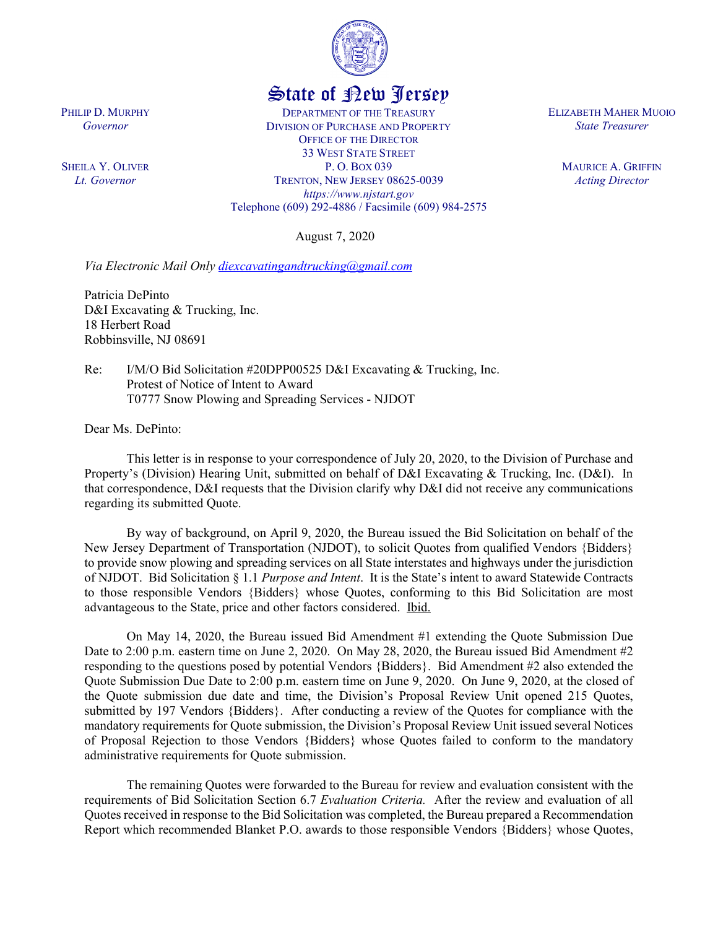

## State of New Jersey

DEPARTMENT OF THE TREASURY DIVISION OF PURCHASE AND PROPERTY OFFICE OF THE DIRECTOR 33 WEST STATE STREET P. O. BOX 039 TRENTON, NEW JERSEY 08625-0039 *https://www.njstart.gov* Telephone (609) 292-4886 / Facsimile (609) 984-2575

August 7, 2020

*Via Electronic Mail Only [diexcavatingandtrucking@gmail.com](mailto:diexcavatingandtrucking@gmail.com)*

Patricia DePinto D&I Excavating & Trucking, Inc. 18 Herbert Road Robbinsville, NJ 08691

Re: I/M/O Bid Solicitation #20DPP00525 D&I Excavating & Trucking, Inc. Protest of Notice of Intent to Award T0777 Snow Plowing and Spreading Services - NJDOT

Dear Ms. DePinto:

This letter is in response to your correspondence of July 20, 2020, to the Division of Purchase and Property's (Division) Hearing Unit, submitted on behalf of D&I Excavating & Trucking, Inc. (D&I). In that correspondence, D&I requests that the Division clarify why D&I did not receive any communications regarding its submitted Quote.

By way of background, on April 9, 2020, the Bureau issued the Bid Solicitation on behalf of the New Jersey Department of Transportation (NJDOT), to solicit Quotes from qualified Vendors {Bidders} to provide snow plowing and spreading services on all State interstates and highways under the jurisdiction of NJDOT. Bid Solicitation § 1.1 *Purpose and Intent*. It is the State's intent to award Statewide Contracts to those responsible Vendors {Bidders} whose Quotes, conforming to this Bid Solicitation are most advantageous to the State, price and other factors considered. Ibid.

On May 14, 2020, the Bureau issued Bid Amendment #1 extending the Quote Submission Due Date to 2:00 p.m. eastern time on June 2, 2020. On May 28, 2020, the Bureau issued Bid Amendment #2 responding to the questions posed by potential Vendors {Bidders}. Bid Amendment #2 also extended the Quote Submission Due Date to 2:00 p.m. eastern time on June 9, 2020. On June 9, 2020, at the closed of the Quote submission due date and time, the Division's Proposal Review Unit opened 215 Quotes, submitted by 197 Vendors {Bidders}. After conducting a review of the Quotes for compliance with the mandatory requirements for Quote submission, the Division's Proposal Review Unit issued several Notices of Proposal Rejection to those Vendors {Bidders} whose Quotes failed to conform to the mandatory administrative requirements for Quote submission.

The remaining Quotes were forwarded to the Bureau for review and evaluation consistent with the requirements of Bid Solicitation Section 6.7 *Evaluation Criteria.* After the review and evaluation of all Quotes received in response to the Bid Solicitation was completed, the Bureau prepared a Recommendation Report which recommended Blanket P.O. awards to those responsible Vendors {Bidders} whose Quotes,

PHILIP D. MURPHY *Governor*

SHEILA Y. OLIVER *Lt. Governor*

ELIZABETH MAHER MUOIO *State Treasurer*

> MAURICE A. GRIFFIN *Acting Director*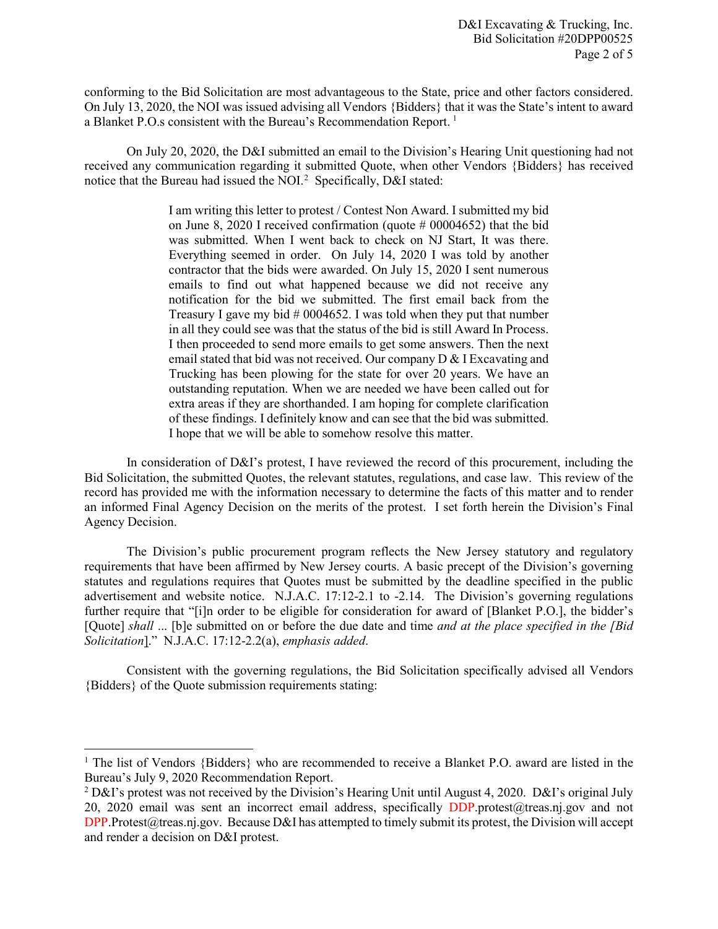conforming to the Bid Solicitation are most advantageous to the State, price and other factors considered. On July 13, 2020, the NOI was issued advising all Vendors {Bidders} that it was the State's intent to award a Blanket P.O.s consistent with the Bureau's Recommendation Report. [1](#page-1-0)

On July 20, 2020, the D&I submitted an email to the Division's Hearing Unit questioning had not received any communication regarding it submitted Quote, when other Vendors {Bidders} has received notice that the Bureau had issued the NOI.<sup>[2](#page-1-1)</sup> Specifically, D&I stated:

> I am writing this letter to protest / Contest Non Award. I submitted my bid on June 8, 2020 I received confirmation (quote # 00004652) that the bid was submitted. When I went back to check on NJ Start, It was there. Everything seemed in order. On July 14, 2020 I was told by another contractor that the bids were awarded. On July 15, 2020 I sent numerous emails to find out what happened because we did not receive any notification for the bid we submitted. The first email back from the Treasury I gave my bid  $#0004652$ . I was told when they put that number in all they could see was that the status of the bid is still Award In Process. I then proceeded to send more emails to get some answers. Then the next email stated that bid was not received. Our company D & I Excavating and Trucking has been plowing for the state for over 20 years. We have an outstanding reputation. When we are needed we have been called out for extra areas if they are shorthanded. I am hoping for complete clarification of these findings. I definitely know and can see that the bid was submitted. I hope that we will be able to somehow resolve this matter.

In consideration of D&I's protest, I have reviewed the record of this procurement, including the Bid Solicitation, the submitted Quotes, the relevant statutes, regulations, and case law. This review of the record has provided me with the information necessary to determine the facts of this matter and to render an informed Final Agency Decision on the merits of the protest. I set forth herein the Division's Final Agency Decision.

The Division's public procurement program reflects the New Jersey statutory and regulatory requirements that have been affirmed by New Jersey courts. A basic precept of the Division's governing statutes and regulations requires that Quotes must be submitted by the deadline specified in the public advertisement and website notice. N.J.A.C. 17:12-2.1 to -2.14. The Division's governing regulations further require that "[i]n order to be eligible for consideration for award of [Blanket P.O.], the bidder's [Quote] *shall* ... [b]e submitted on or before the due date and time *and at the place specified in the [Bid Solicitation*]." N.J.A.C. 17:12-2.2(a), *emphasis added*.

Consistent with the governing regulations, the Bid Solicitation specifically advised all Vendors {Bidders} of the Quote submission requirements stating:

 $\overline{\phantom{a}}$ 

<span id="page-1-0"></span><sup>&</sup>lt;sup>1</sup> The list of Vendors {Bidders} who are recommended to receive a Blanket P.O. award are listed in the Bureau's July 9, 2020 Recommendation Report.

<span id="page-1-1"></span><sup>&</sup>lt;sup>2</sup> D&I's protest was not received by the Division's Hearing Unit until August 4, 2020. D&I's original July 20, 2020 email was sent an incorrect email address, specifically DDP.protest@treas.nj.gov and not DPP. Protest@treas.nj.gov. Because D&I has attempted to timely submit its protest, the Division will accept and render a decision on D&I protest.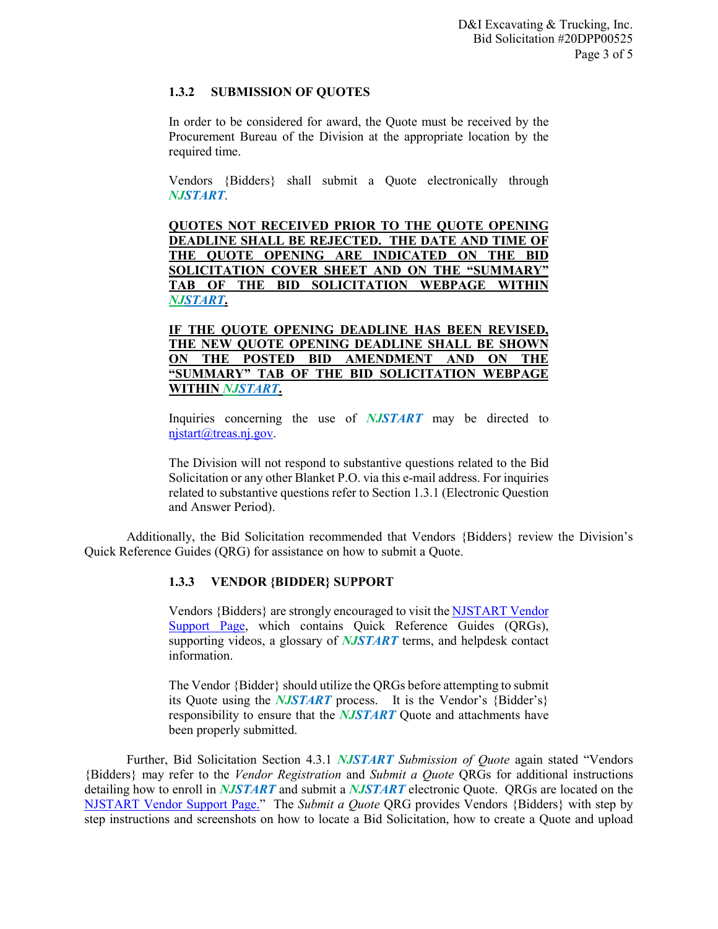## **1.3.2 SUBMISSION OF QUOTES**

In order to be considered for award, the Quote must be received by the Procurement Bureau of the Division at the appropriate location by the required time.

Vendors {Bidders} shall submit a Quote electronically through *NJSTART*.

**QUOTES NOT RECEIVED PRIOR TO THE QUOTE OPENING DEADLINE SHALL BE REJECTED. THE DATE AND TIME OF THE QUOTE OPENING ARE INDICATED ON THE BID SOLICITATION COVER SHEET AND ON THE "SUMMARY" TAB OF THE BID SOLICITATION WEBPAGE WITHIN**  *NJSTART***.** 

**IF THE QUOTE OPENING DEADLINE HAS BEEN REVISED, THE NEW QUOTE OPENING DEADLINE SHALL BE SHOWN ON THE POSTED BID AMENDMENT AND ON THE "SUMMARY" TAB OF THE BID SOLICITATION WEBPAGE WITHIN** *NJSTART***.** 

Inquiries concerning the use of *NJSTART* may be directed to [njstart@treas.nj.gov.](mailto:njstart@treas.nj.gov)

The Division will not respond to substantive questions related to the Bid Solicitation or any other Blanket P.O. via this e-mail address. For inquiries related to substantive questions refer to Section 1.3.1 (Electronic Question and Answer Period).

Additionally, the Bid Solicitation recommended that Vendors {Bidders} review the Division's Quick Reference Guides (QRG) for assistance on how to submit a Quote.

## **1.3.3 VENDOR {BIDDER} SUPPORT**

Vendors {Bidders} are strongly encouraged to visit th[e NJSTART Vendor](https://www.state.nj.us/treasury/purchase/vendor.shtml)  [Support Page,](https://www.state.nj.us/treasury/purchase/vendor.shtml) which contains Quick Reference Guides (QRGs), supporting videos, a glossary of *NJSTART* terms, and helpdesk contact information.

The Vendor {Bidder} should utilize the QRGs before attempting to submit its Quote using the *NJSTART* process. It is the Vendor's {Bidder's} responsibility to ensure that the *NJSTART* Quote and attachments have been properly submitted.

Further, Bid Solicitation Section 4.3.1 *NJSTART Submission of Quote* again stated "Vendors {Bidders} may refer to the *Vendor Registration* and *Submit a Quote* QRGs for additional instructions detailing how to enroll in *NJSTART* and submit a *NJSTART* electronic Quote. QRGs are located on the [NJSTART Vendor Support Page.](http://www.state.nj.us/treasury/purchase/njstart/vendor.shtml)" The *Submit a Quote* QRG provides Vendors {Bidders} with step by step instructions and screenshots on how to locate a Bid Solicitation, how to create a Quote and upload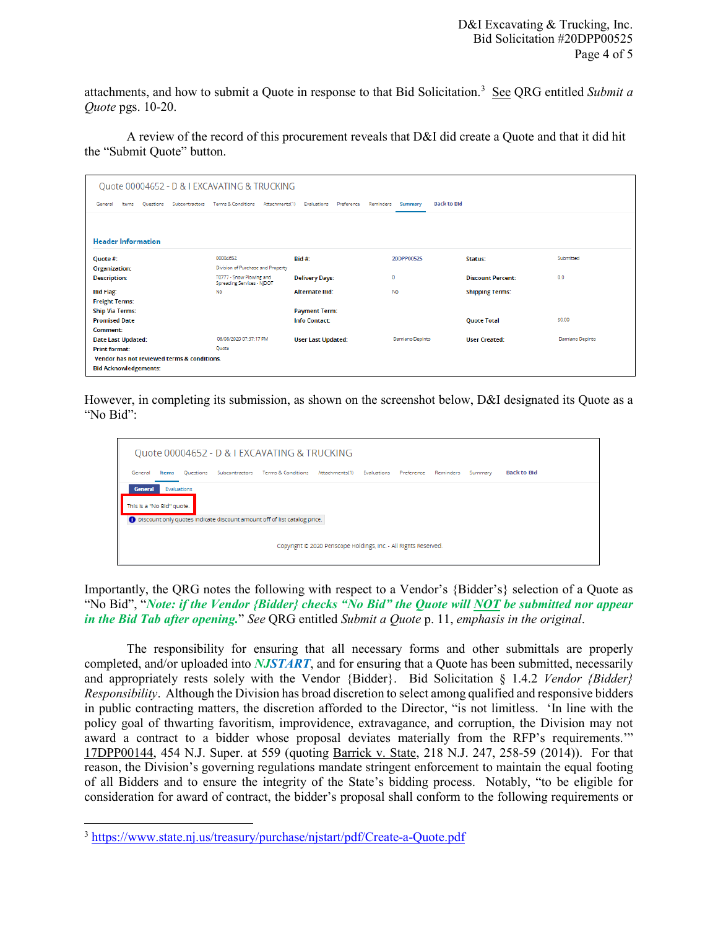attachments, and how to submit a Quote in response to that Bid Solicitation.<sup>3</sup> See QRG entitled Submit a *Quote* pgs. 10-20.

A review of the record of this procurement reveals that D&I did create a Quote and that it did hit the "Submit Quote" button.

| Quote 00004652 - D & I EXCAVATING & TRUCKING    |                                                        |                                        |                               |                          |                 |  |  |  |  |  |  |
|-------------------------------------------------|--------------------------------------------------------|----------------------------------------|-------------------------------|--------------------------|-----------------|--|--|--|--|--|--|
| Subcontractors<br>General<br>Ouestions<br>Items | Terms & Conditions<br>Attachments(1)                   | Evaluations<br>Preference<br>Reminders | <b>Back to Bld</b><br>Summary |                          |                 |  |  |  |  |  |  |
|                                                 |                                                        |                                        |                               |                          |                 |  |  |  |  |  |  |
| <b>Header Information</b>                       |                                                        |                                        |                               |                          |                 |  |  |  |  |  |  |
| Quote #:                                        | 00004652                                               | Rid #                                  | 20DPP00525                    | Status:                  | Submitted       |  |  |  |  |  |  |
| <b>Organization:</b>                            | Division of Purchase and Property                      |                                        |                               |                          |                 |  |  |  |  |  |  |
| <b>Description:</b>                             | T0777 - Snow Plowing and<br>Spreading Services - NJDOT | <b>Delivery Days:</b>                  | 0                             | <b>Discount Percent:</b> | 0.0             |  |  |  |  |  |  |
| <b>Bid Flag:</b>                                | No                                                     | <b>Alternate Bid:</b>                  | No                            | <b>Shipping Terms:</b>   |                 |  |  |  |  |  |  |
| <b>Freight Terms:</b>                           |                                                        |                                        |                               |                          |                 |  |  |  |  |  |  |
| <b>Ship Via Terms:</b>                          |                                                        | <b>Payment Term:</b>                   |                               |                          |                 |  |  |  |  |  |  |
| <b>Promised Date</b>                            |                                                        | <b>Info Contact:</b>                   |                               | <b>Quote Total</b>       | \$0.00          |  |  |  |  |  |  |
| Comment:                                        |                                                        |                                        |                               |                          |                 |  |  |  |  |  |  |
| <b>Date Last Updated:</b>                       | 06/08/2020 07:37:17 PM                                 | <b>User Last Updated:</b>              | Damiano Depinto               | <b>User Created:</b>     | Damiano Depinto |  |  |  |  |  |  |
| <b>Print format:</b>                            | Ouote                                                  |                                        |                               |                          |                 |  |  |  |  |  |  |
| Vendor has not reviewed terms & conditions.     |                                                        |                                        |                               |                          |                 |  |  |  |  |  |  |
| <b>Bid Acknowledgements:</b>                    |                                                        |                                        |                               |                          |                 |  |  |  |  |  |  |

However, in completing its submission, as shown on the screenshot below, D&I designated its Quote as a "No Bid":

| Quote 00004652 - D & I EXCAVATING & TRUCKING                     |             |  |                                                                            |  |  |  |           |         |                    |  |
|------------------------------------------------------------------|-------------|--|----------------------------------------------------------------------------|--|--|--|-----------|---------|--------------------|--|
| General<br>Items                                                 | Questions   |  | Subcontractors Terms & Conditions Attachments(1) Evaluations Preference    |  |  |  | Reminders | Summary | <b>Back to Bld</b> |  |
| <b>General</b><br>This is a "No Bid" quote.                      | Evaluations |  | 1 Discount only quotes indicate discount amount off of list catalog price. |  |  |  |           |         |                    |  |
| Copyright @ 2020 Periscope Holdings, Inc. - All Rights Reserved. |             |  |                                                                            |  |  |  |           |         |                    |  |

Importantly, the QRG notes the following with respect to a Vendor's {Bidder's} selection of a Quote as "No Bid", "*Note: if the Vendor {Bidder} checks "No Bid" the Quote will NOT be submitted nor appear in the Bid Tab after opening.*" *See* QRG entitled *Submit a Quote* p. 11, *emphasis in the original*.

The responsibility for ensuring that all necessary forms and other submittals are properly completed, and/or uploaded into *NJSTART*, and for ensuring that a Quote has been submitted, necessarily and appropriately rests solely with the Vendor {Bidder}. Bid Solicitation § 1.4.2 *Vendor {Bidder} Responsibility*. Although the Division has broad discretion to select among qualified and responsive bidders in public contracting matters, the discretion afforded to the Director, "is not limitless. 'In line with the policy goal of thwarting favoritism, improvidence, extravagance, and corruption, the Division may not award a contract to a bidder whose proposal deviates materially from the RFP's requirements.'" 17DPP00144, 454 N.J. Super. at 559 (quoting Barrick v. State, 218 N.J. 247, 258-59 (2014)). For that reason, the Division's governing regulations mandate stringent enforcement to maintain the equal footing of all Bidders and to ensure the integrity of the State's bidding process. Notably, "to be eligible for consideration for award of contract, the bidder's proposal shall conform to the following requirements or

l

<span id="page-3-0"></span><sup>3</sup> <https://www.state.nj.us/treasury/purchase/njstart/pdf/Create-a-Quote.pdf>